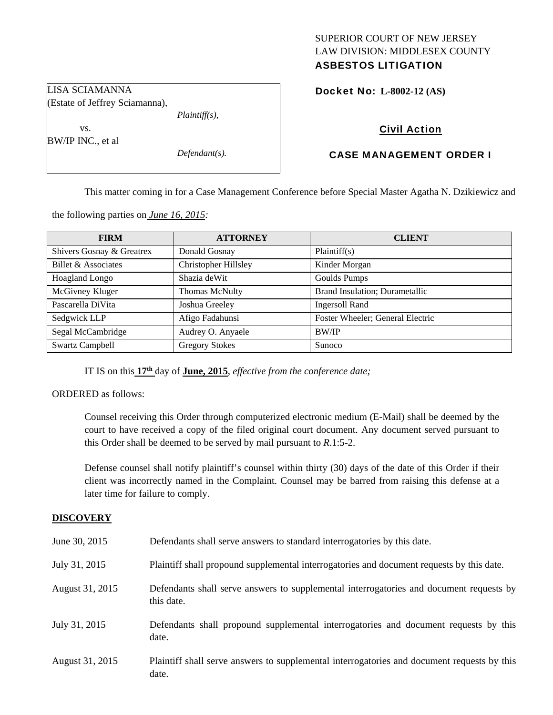## SUPERIOR COURT OF NEW JERSEY LAW DIVISION: MIDDLESEX COUNTY ASBESTOS LITIGATION

Docket No: **L-8002-12 (AS)** 

LISA SCIAMANNA (Estate of Jeffrey Sciamanna), *Plaintiff(s),* 

 vs. BW/IP INC., et al

*Defendant(s).* 

Civil Action

# CASE MANAGEMENT ORDER I

This matter coming in for a Case Management Conference before Special Master Agatha N. Dzikiewicz and

the following parties on *June 16, 2015:* 

| <b>FIRM</b>               | <b>ATTORNEY</b>             | <b>CLIENT</b>                         |
|---------------------------|-----------------------------|---------------------------------------|
| Shivers Gosnay & Greatrex | Donald Gosnay               | Plaintiff(s)                          |
| Billet & Associates       | <b>Christopher Hillsley</b> | Kinder Morgan                         |
| Hoagland Longo            | Shazia deWit                | <b>Goulds Pumps</b>                   |
| McGivney Kluger           | Thomas McNulty              | <b>Brand Insulation; Durametallic</b> |
| Pascarella DiVita         | Joshua Greeley              | <b>Ingersoll Rand</b>                 |
| Sedgwick LLP              | Afigo Fadahunsi             | Foster Wheeler; General Electric      |
| Segal McCambridge         | Audrey O. Anyaele           | BW/IP                                 |
| <b>Swartz Campbell</b>    | <b>Gregory Stokes</b>       | Sunoco                                |

IT IS on this **17th** day of **June, 2015**, *effective from the conference date;*

ORDERED as follows:

Counsel receiving this Order through computerized electronic medium (E-Mail) shall be deemed by the court to have received a copy of the filed original court document. Any document served pursuant to this Order shall be deemed to be served by mail pursuant to *R*.1:5-2.

Defense counsel shall notify plaintiff's counsel within thirty (30) days of the date of this Order if their client was incorrectly named in the Complaint. Counsel may be barred from raising this defense at a later time for failure to comply.

## **DISCOVERY**

| June 30, 2015   | Defendants shall serve answers to standard interrogatories by this date.                              |
|-----------------|-------------------------------------------------------------------------------------------------------|
| July 31, 2015   | Plaintiff shall propound supplemental interrogatories and document requests by this date.             |
| August 31, 2015 | Defendants shall serve answers to supplemental interrogatories and document requests by<br>this date. |
| July 31, 2015   | Defendants shall propound supplemental interrogatories and document requests by this<br>date.         |
| August 31, 2015 | Plaintiff shall serve answers to supplemental interrogatories and document requests by this<br>date.  |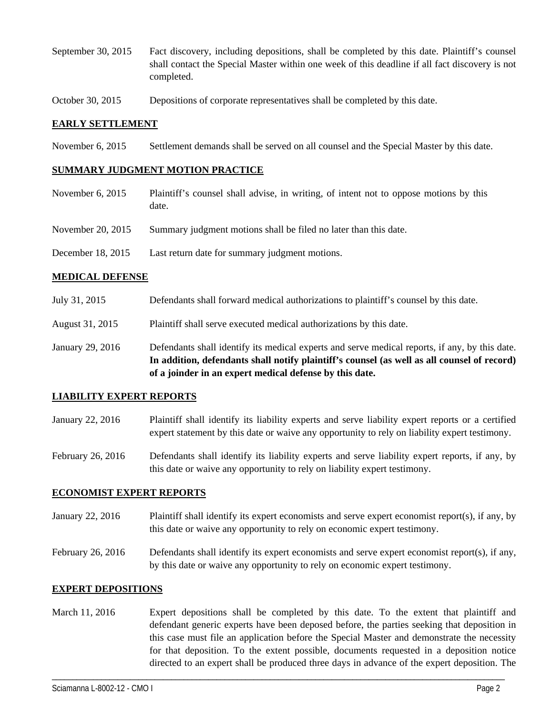- September 30, 2015 Fact discovery, including depositions, shall be completed by this date. Plaintiff's counsel shall contact the Special Master within one week of this deadline if all fact discovery is not completed.
- October 30, 2015 Depositions of corporate representatives shall be completed by this date.

### **EARLY SETTLEMENT**

November 6, 2015 Settlement demands shall be served on all counsel and the Special Master by this date.

### **SUMMARY JUDGMENT MOTION PRACTICE**

- November 6, 2015 Plaintiff's counsel shall advise, in writing, of intent not to oppose motions by this date. November 20, 2015 Summary judgment motions shall be filed no later than this date.
- December 18, 2015 Last return date for summary judgment motions.

#### **MEDICAL DEFENSE**

- July 31, 2015 Defendants shall forward medical authorizations to plaintiff's counsel by this date.
- August 31, 2015 Plaintiff shall serve executed medical authorizations by this date.
- January 29, 2016 Defendants shall identify its medical experts and serve medical reports, if any, by this date. **In addition, defendants shall notify plaintiff's counsel (as well as all counsel of record) of a joinder in an expert medical defense by this date.**

#### **LIABILITY EXPERT REPORTS**

- January 22, 2016 Plaintiff shall identify its liability experts and serve liability expert reports or a certified expert statement by this date or waive any opportunity to rely on liability expert testimony.
- February 26, 2016 Defendants shall identify its liability experts and serve liability expert reports, if any, by this date or waive any opportunity to rely on liability expert testimony.

## **ECONOMIST EXPERT REPORTS**

- January 22, 2016 Plaintiff shall identify its expert economists and serve expert economist report(s), if any, by this date or waive any opportunity to rely on economic expert testimony.
- February 26, 2016 Defendants shall identify its expert economists and serve expert economist report(s), if any, by this date or waive any opportunity to rely on economic expert testimony.

## **EXPERT DEPOSITIONS**

March 11, 2016 Expert depositions shall be completed by this date. To the extent that plaintiff and defendant generic experts have been deposed before, the parties seeking that deposition in this case must file an application before the Special Master and demonstrate the necessity for that deposition. To the extent possible, documents requested in a deposition notice directed to an expert shall be produced three days in advance of the expert deposition. The

\_\_\_\_\_\_\_\_\_\_\_\_\_\_\_\_\_\_\_\_\_\_\_\_\_\_\_\_\_\_\_\_\_\_\_\_\_\_\_\_\_\_\_\_\_\_\_\_\_\_\_\_\_\_\_\_\_\_\_\_\_\_\_\_\_\_\_\_\_\_\_\_\_\_\_\_\_\_\_\_\_\_\_\_\_\_\_\_\_\_\_\_\_\_\_\_\_\_\_\_\_\_\_\_\_\_\_\_\_\_